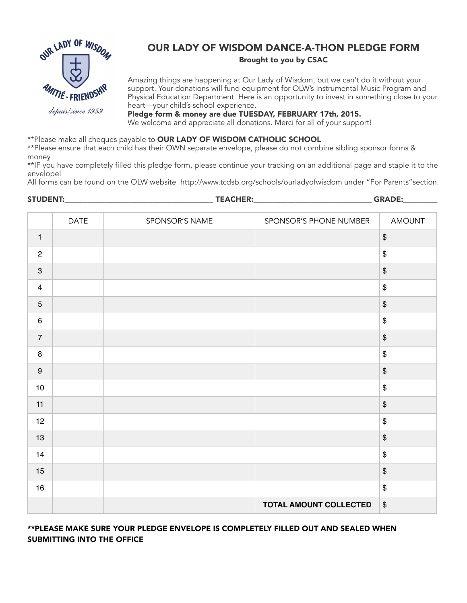

## OUR LADY OF WISDOM DANCE-A-THON PLEDGE FORM Brought to you by CSAC

Amazing things are happening at Our Lady of Wisdom, but we can't do it without your support. Your donations will fund equipment for OLW's Instrumental Music Program and Physical Education Department. Here is an opportunity to invest in something close to your heart—your child's school experience.

Pledge form & money are due TUESDAY, FEBRUARY 17th, 2015. We welcome and appreciate all donations. Merci for all of your support!

\*\*Please make all cheques payable to OUR LADY OF WISDOM CATHOLIC SCHOOL

\*\*Please ensure that each child has their OWN separate envelope, please do not combine sibling sponsor forms & money

\*\*IF you have completely filled this pledge form, please continue your tracking on an additional page and staple it to the envelope!

All forms can be found on the OLW website <http://www.tcdsb.org/schools/ourladyofwisdom>under "For Parents"section.

| <b>STUDENT:</b>           |      | <b>TEACHER:</b> |                        | <b>GRADE:</b>                             |  |
|---------------------------|------|-----------------|------------------------|-------------------------------------------|--|
|                           | DATE | SPONSOR'S NAME  | SPONSOR'S PHONE NUMBER | AMOUNT                                    |  |
| $\mathbf{1}$              |      |                 |                        | $\, \, \raisebox{12pt}{$\scriptstyle \$}$ |  |
| $\sqrt{2}$                |      |                 |                        | $\, \, \$$                                |  |
| $\ensuremath{\mathsf{3}}$ |      |                 |                        | $\, \, \raisebox{12pt}{$\scriptstyle \$}$ |  |
| $\overline{4}$            |      |                 |                        | $\, \, \$$                                |  |
| $\sqrt{5}$                |      |                 |                        | $\, \, \raisebox{12pt}{$\scriptstyle \$}$ |  |
| $\,6\,$                   |      |                 |                        | $\, \, \$$                                |  |
| $\overline{7}$            |      |                 |                        | $\, \, \$$                                |  |
| $\bf 8$                   |      |                 |                        | $\, \, \$$                                |  |
| $\boldsymbol{9}$          |      |                 |                        | $\, \, \raisebox{12pt}{$\scriptstyle \$}$ |  |
| 10                        |      |                 |                        | $\, \, \$$                                |  |
| 11                        |      |                 |                        | $\, \, \raisebox{12pt}{$\scriptstyle \$}$ |  |
| 12                        |      |                 |                        | $\, \, \$$                                |  |
| 13                        |      |                 |                        | $\, \, \raisebox{12pt}{$\scriptstyle \$}$ |  |
| 14                        |      |                 |                        | $\,$                                      |  |
| 15                        |      |                 |                        | $\, \, \raisebox{12pt}{$\scriptstyle \$}$ |  |
| 16                        |      |                 |                        | $\, \, \$$                                |  |
|                           |      |                 | TOTAL AMOUNT COLLECTED | $\$$                                      |  |

\*\*PLEASE MAKE SURE YOUR PLEDGE ENVELOPE IS COMPLETELY FILLED OUT AND SEALED WHEN SUBMITTING INTO THE OFFICE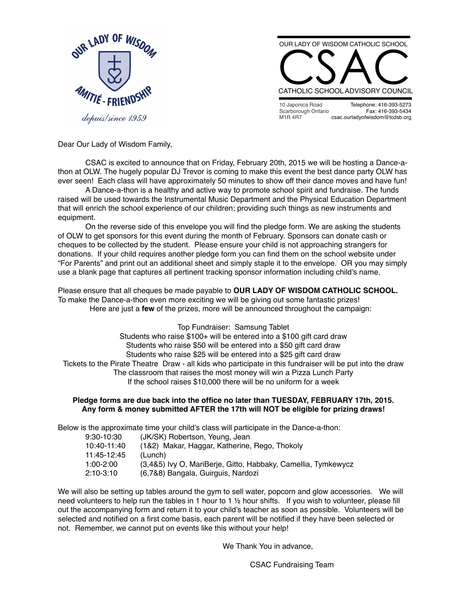

depuis/since 1959



10 Japonica Road Scarborough Ontario M1R 4R7 Telephone: 416-393-5273 Fax: 416-393-5434 [csac.ourladyofwisdom@tcdsb.org](mailto:csacourladyofwisdom@tcdsb.org)

Dear Our Lady of Wisdom Family,

CSAC is excited to announce that on Friday, February 20th, 2015 we will be hosting a Dance-athon at OLW. The hugely popular DJ Trevor is coming to make this event the best dance party OLW has ever seen! Each class will have approximately 50 minutes to show off their dance moves and have fun!

A Dance-a-thon is a healthy and active way to promote school spirit and fundraise. The funds raised will be used towards the Instrumental Music Department and the Physical Education Department that will enrich the school experience of our children; providing such things as new instruments and equipment.

On the reverse side of this envelope you will find the pledge form. We are asking the students of OLW to get sponsors for this event during the month of February. Sponsors can donate cash or cheques to be collected by the student. Please ensure your child is not approaching strangers for donations. If your child requires another pledge form you can find them on the school website under "For Parents" and print out an additional sheet and simply staple it to the envelope. OR you may simply use a blank page that captures all pertinent tracking sponsor information including child's name.

Please ensure that all cheques be made payable to **OUR LADY OF WISDOM CATHOLIC SCHOOL.** To make the Dance-a-thon even more exciting we will be giving out some fantastic prizes! Here are just a **few** of the prizes, more will be announced throughout the campaign:

## Top Fundraiser: Samsung Tablet

Students who raise \$100+ will be entered into a \$100 gift card draw Students who raise \$50 will be entered into a \$50 gift card draw Students who raise \$25 will be entered into a \$25 gift card draw Tickets to the Pirate Theatre Draw - all kids who participate in this fundraiser will be put into the draw The classroom that raises the most money will win a Pizza Lunch Party If the school raises \$10,000 there will be no uniform for a week

## **Pledge forms are due back into the office no later than TUESDAY, FEBRUARY 17th, 2015. Any form & money submitted AFTER the 17th will NOT be eligible for prizing draws!**

Below is the approximate time your child's class will participate in the Dance-a-thon:

| 9:30-10:30 | (JK/SK) Robertson, Yeung, Jean |  |
|------------|--------------------------------|--|
|------------|--------------------------------|--|

| 10:40-11:40 | (1&2) Makar, Haggar, Katherine, Rego, Thokoly                 |
|-------------|---------------------------------------------------------------|
| 11:45-12:45 | (Lunch)                                                       |
| $1:00-2:00$ | (3,4&5) Ivy O, MariBerje, Gitto, Habbaky, Camellia, Tymkewycz |
| 2:10-3:10   | (6,7&8) Bangala, Guirguis, Nardozi                            |

We will also be setting up tables around the gym to sell water, popcorn and glow accessories. We will need volunteers to help run the tables in 1 hour to 1 ½ hour shifts. If you wish to volunteer, please fill out the accompanying form and return it to your child's teacher as soon as possible. Volunteers will be selected and notified on a first come basis, each parent will be notified if they have been selected or not. Remember, we cannot put on events like this without your help!

We Thank You in advance,

CSAC Fundraising Team